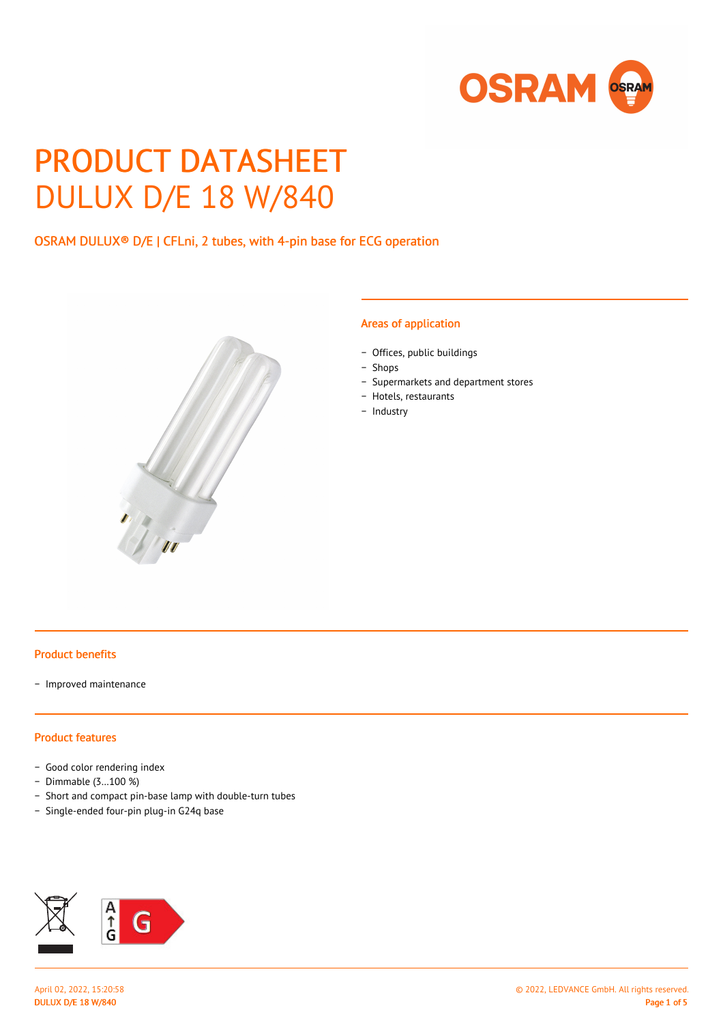

# PRODUCT DATASHEET DULUX D/E 18 W/840

## OSRAM DULUX® D/E | CFLni, 2 tubes, with 4-pin base for ECG operation



#### Areas of application

- − Offices, public buildings
- − Shops
- − Supermarkets and department stores
- − Hotels, restaurants
- − Industry

#### Product benefits

− Improved maintenance

## Product features

- − Good color rendering index
- − Dimmable (3…100 %)
- − Short and compact pin-base lamp with double-turn tubes
- − Single-ended four-pin plug-in G24q base

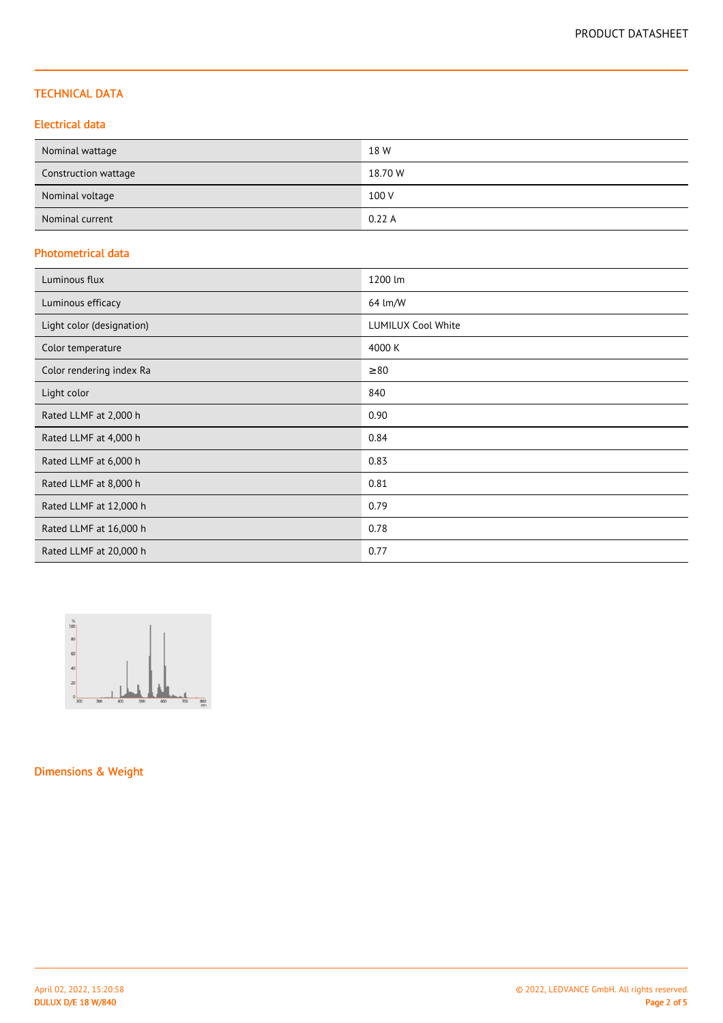## TECHNICAL DATA

## Electrical data

| Nominal wattage      | 18 W    |
|----------------------|---------|
| Construction wattage | 18.70 W |
| Nominal voltage      | 100 V   |
| Nominal current      | 0.22A   |

## Photometrical data

| Luminous flux             | 1200 lm                   |
|---------------------------|---------------------------|
| Luminous efficacy         | 64 lm/W                   |
| Light color (designation) | <b>LUMILUX Cool White</b> |
| Color temperature         | 4000 K                    |
| Color rendering index Ra  | $\geq 80$                 |
| Light color               | 840                       |
| Rated LLMF at 2,000 h     | 0.90                      |
| Rated LLMF at 4,000 h     | 0.84                      |
| Rated LLMF at 6,000 h     | 0.83                      |
| Rated LLMF at 8,000 h     | 0.81                      |
| Rated LLMF at 12,000 h    | 0.79                      |
| Rated LLMF at 16,000 h    | 0.78                      |
| Rated LLMF at 20,000 h    | 0.77                      |



Dimensions & Weight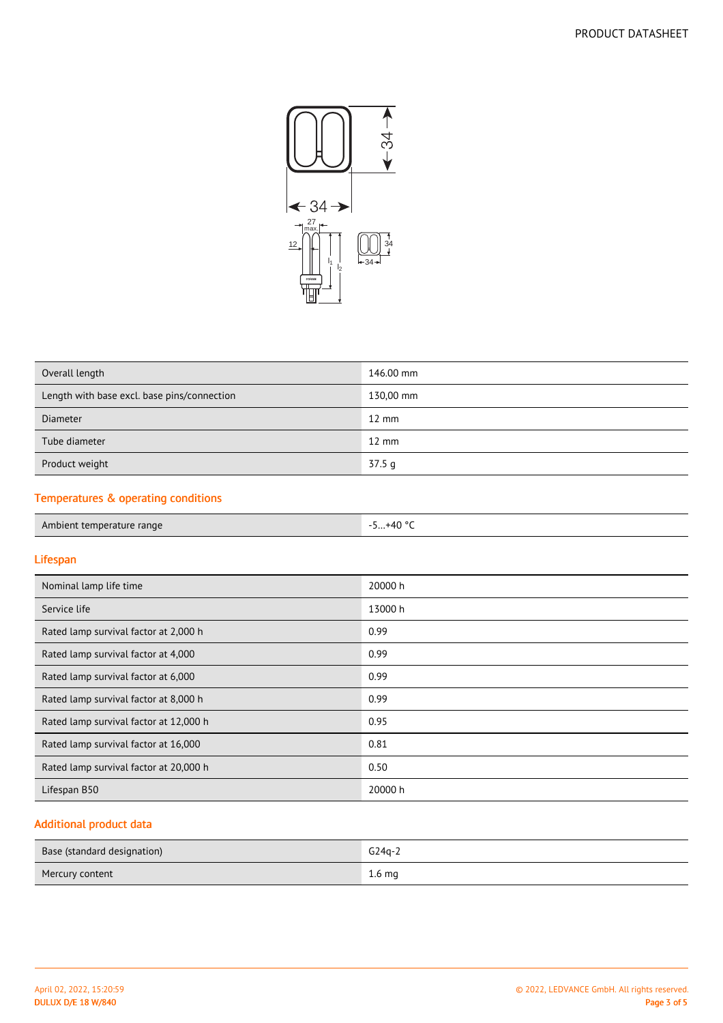

| Overall length                              | 146.00 mm       |
|---------------------------------------------|-----------------|
| Length with base excl. base pins/connection | 130,00 mm       |
| <b>Diameter</b>                             | $12 \text{ mm}$ |
| Tube diameter                               | $12 \text{ mm}$ |
| Product weight                              | 37.5q           |
|                                             |                 |

## Temperatures & operating conditions

## Lifespan

| Nominal lamp life time                 | 20000 h |
|----------------------------------------|---------|
| Service life                           | 13000 h |
| Rated lamp survival factor at 2,000 h  | 0.99    |
| Rated lamp survival factor at 4,000    | 0.99    |
| Rated lamp survival factor at 6,000    | 0.99    |
| Rated lamp survival factor at 8,000 h  | 0.99    |
| Rated lamp survival factor at 12,000 h | 0.95    |
| Rated lamp survival factor at 16,000   | 0.81    |
| Rated lamp survival factor at 20,000 h | 0.50    |
| Lifespan B50                           | 20000 h |

# Additional product data

| Base (standard designation) | $G24q-2$          |
|-----------------------------|-------------------|
| Mercury content             | 1.6 <sub>mg</sub> |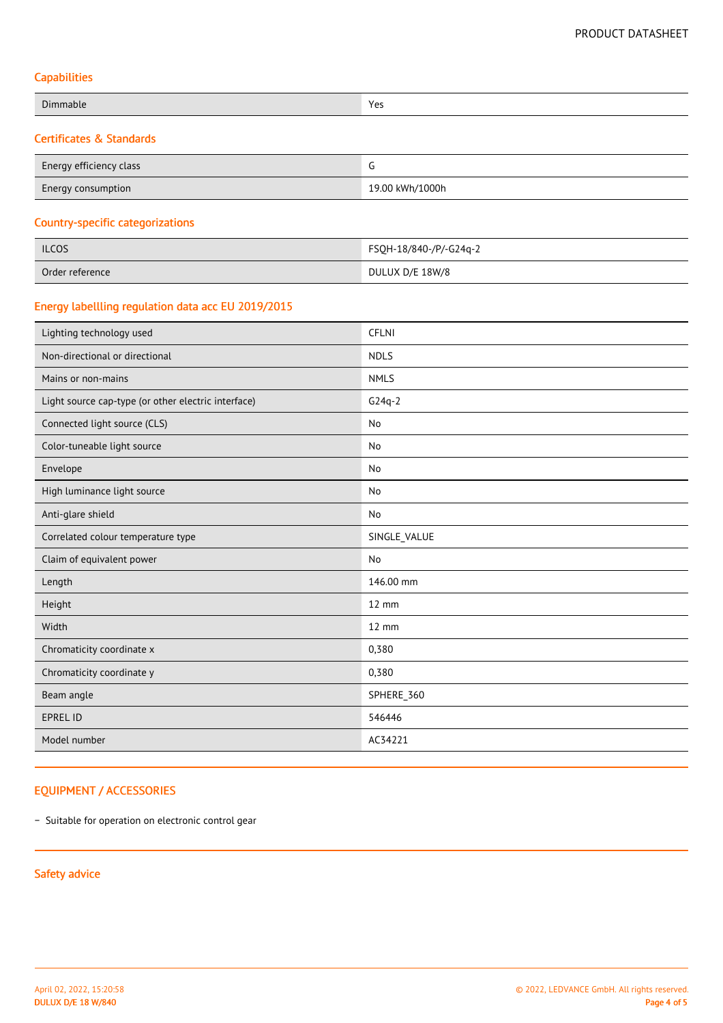## **Capabilities**

| Dimmable                            | Yes |
|-------------------------------------|-----|
| <b>Certificates &amp; Standards</b> |     |

| Energy efficiency class   |                 |
|---------------------------|-----------------|
| <b>Energy consumption</b> | 19.00 kWh/1000h |

## Country-specific categorizations

| <b>ILCOS</b>    | FSQH-18/840-/P/-G24q-2 |
|-----------------|------------------------|
| Order reference | DULUX D/E 18W/8        |

## Energy labellling regulation data acc EU 2019/2015

| Lighting technology used                            | <b>CFLNI</b>      |  |
|-----------------------------------------------------|-------------------|--|
| Non-directional or directional                      | <b>NDLS</b>       |  |
| Mains or non-mains                                  | <b>NMLS</b>       |  |
| Light source cap-type (or other electric interface) | $G24q-2$          |  |
| Connected light source (CLS)                        | No                |  |
| Color-tuneable light source                         | No                |  |
| Envelope                                            | No                |  |
| High luminance light source                         | No                |  |
| Anti-glare shield                                   | No                |  |
| Correlated colour temperature type                  | SINGLE_VALUE      |  |
| Claim of equivalent power                           | No                |  |
| Length                                              | 146.00 mm         |  |
| Height                                              | $12 \, \text{mm}$ |  |
| Width                                               | $12 \, \text{mm}$ |  |
| Chromaticity coordinate x                           | 0,380             |  |
| Chromaticity coordinate y                           | 0,380             |  |
| Beam angle                                          | SPHERE_360        |  |
| <b>EPREL ID</b>                                     | 546446            |  |
| Model number                                        | AC34221           |  |

## EQUIPMENT / ACCESSORIES

− Suitable for operation on electronic control gear

## Safety advice